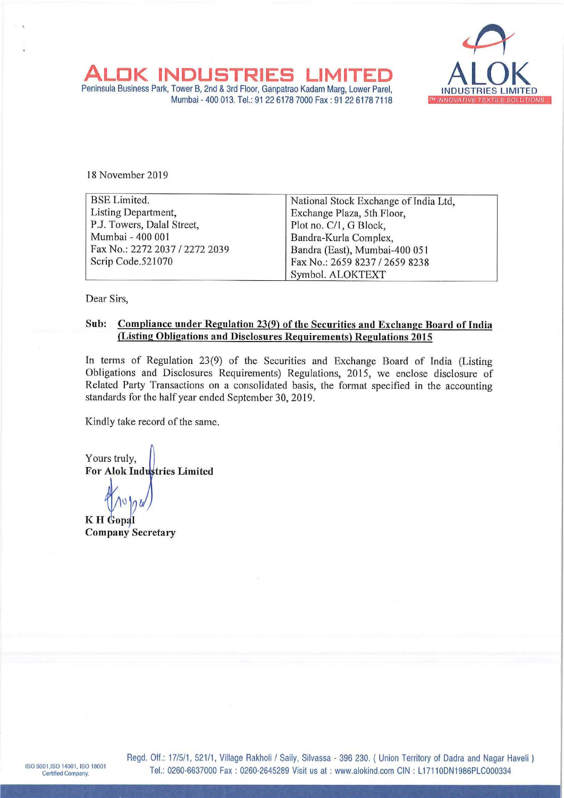

L

Mumbai - 400 013. Tel.: 91 22 6178 7000 Fax : 91 22 6178 7118 ALOK INDUSTRIES<br>
Peninsula Business Park, Tower B, 2nd & 3rd Floor, Ganpatra<br>
Mumbai - 400 013. Tel.: 91 22 6178<br>
18 November 2019

| K INDUSTRIES<br>eninsula Business Park, Tower B, 2nd & 3rd Floor, Ganpatrao Kadam Marg, Lower Parel,<br>Mumbai - 400 013. Tel.: 91 22 6178 7000 Fax: 91 22 6178 7118 | LIMIT<br>™ INNOVATIVE TEXTIL                           |  |  |  |  |  |
|----------------------------------------------------------------------------------------------------------------------------------------------------------------------|--------------------------------------------------------|--|--|--|--|--|
| 18 November 2019                                                                                                                                                     |                                                        |  |  |  |  |  |
| <b>BSE</b> Limited.                                                                                                                                                  | National Stock Exchange of India Ltd,                  |  |  |  |  |  |
| Listing Department,                                                                                                                                                  | Exchange Plaza, 5th Floor,                             |  |  |  |  |  |
| P.J. Towers, Dalal Street,<br>Mumbai - 400 001                                                                                                                       | Plot no. C/1, G Block,                                 |  |  |  |  |  |
| Fax No.: 2272 2037 / 2272 2039                                                                                                                                       | Bandra-Kurla Complex,<br>Bandra (East), Mumbai-400 051 |  |  |  |  |  |
| Scrip Code.521070                                                                                                                                                    | Fax No.: 2659 8237 / 2659 8238                         |  |  |  |  |  |
|                                                                                                                                                                      | Symbol. ALOKTEXT                                       |  |  |  |  |  |

Dear Sirs,

## Sub: Compliance under Regulation 23(9) of the Securities and Exchange Board of India (Listing Obligations and Disclosures Requirements) Regulations 2015

In terms of Regulation 23(9) of the Securities and Exchange Board of India (Listing Obligations and Disclosures Requirements) Regulations, 2015, we enclose disclosure of Related Party Transactions on a consolidated basis, the format specified in the accounting standards for the half year ended September 30, 2019.

Kindly take record of the same.

Yours truly, For Alok Industries Limited

v K H Gopal Company Secretary

Regd. Off.: 17/5/1, 521/1, Village Rakholi / Saily, Silvassa - 396 230. ( Union Territory of Dadra and Nagar Haveli ) Regd. Off.: 17/5/1, 521/1, Village Rakholi / Saily, Silvassa - 396 230. ( Union Territory of Dadra and Nagar H<br>Tel.: 0260-6637000 Fax : 0260-2645289 Visit us at : www.alokind.com CIN : L17110DN1986PLC000334 ISO 9001, ISO 14001, ISO 18001<br>Certified Company. Tel.: 0260-6637000 Fax: 0260-2645289 Visit us at: www.alokind.com CIN: L17110DN1986PLC000334